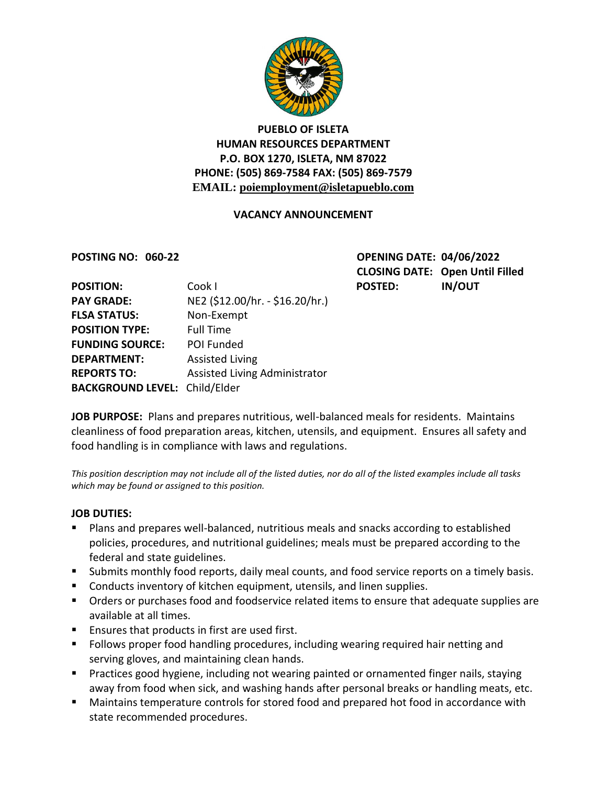

# **PUEBLO OF ISLETA HUMAN RESOURCES DEPARTMENT P.O. BOX 1270, ISLETA, NM 87022 PHONE: (505) 869-7584 FAX: (505) 869-7579 EMAIL: poiemployment@isletapueblo.com**

### **VACANCY ANNOUNCEMENT**

**POSTING NO: 060-22 OPENING DATE: 04/06/2022 CLOSING DATE: Open Until Filled**

| <b>POSITION:</b>                     | Cook I                          | <b>POSTED:</b> | <b>IN/OUT</b> |
|--------------------------------------|---------------------------------|----------------|---------------|
| <b>PAY GRADE:</b>                    | NE2 (\$12.00/hr. - \$16.20/hr.) |                |               |
| <b>FLSA STATUS:</b>                  | Non-Exempt                      |                |               |
| <b>POSITION TYPE:</b>                | <b>Full Time</b>                |                |               |
| <b>FUNDING SOURCE:</b>               | POI Funded                      |                |               |
| <b>DEPARTMENT:</b>                   | <b>Assisted Living</b>          |                |               |
| <b>REPORTS TO:</b>                   | Assisted Living Administrator   |                |               |
| <b>BACKGROUND LEVEL: Child/Elder</b> |                                 |                |               |
|                                      |                                 |                |               |

**JOB PURPOSE:** Plans and prepares nutritious, well-balanced meals for residents. Maintains cleanliness of food preparation areas, kitchen, utensils, and equipment. Ensures all safety and food handling is in compliance with laws and regulations.

*This position description may not include all of the listed duties, nor do all of the listed examples include all tasks which may be found or assigned to this position.*

#### **JOB DUTIES:**

- Plans and prepares well-balanced, nutritious meals and snacks according to established policies, procedures, and nutritional guidelines; meals must be prepared according to the federal and state guidelines.
- Submits monthly food reports, daily meal counts, and food service reports on a timely basis.
- Conducts inventory of kitchen equipment, utensils, and linen supplies.
- **•** Orders or purchases food and foodservice related items to ensure that adequate supplies are available at all times.
- Ensures that products in first are used first.
- **F** Follows proper food handling procedures, including wearing required hair netting and serving gloves, and maintaining clean hands.
- **Practices good hygiene, including not wearing painted or ornamented finger nails, staying** away from food when sick, and washing hands after personal breaks or handling meats, etc.
- Maintains temperature controls for stored food and prepared hot food in accordance with state recommended procedures.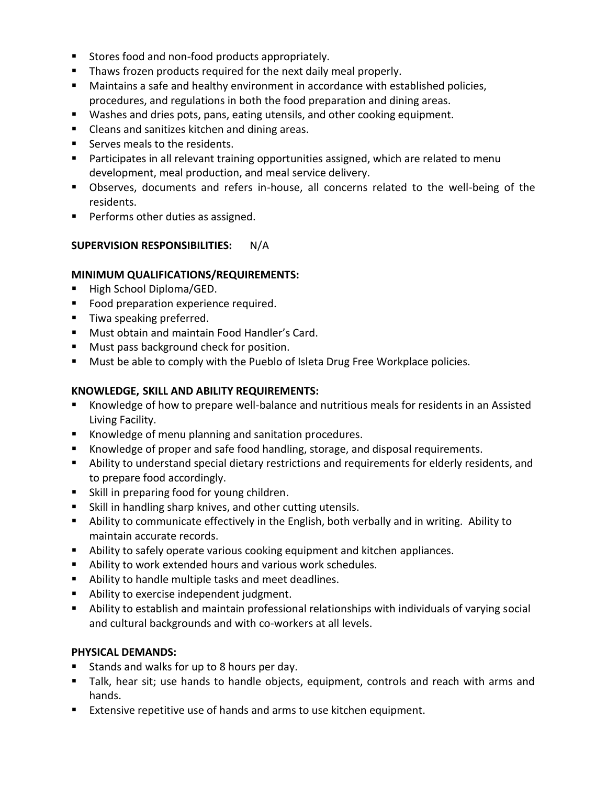- Stores food and non-food products appropriately.
- **Thaws frozen products required for the next daily meal properly.**
- Maintains a safe and healthy environment in accordance with established policies, procedures, and regulations in both the food preparation and dining areas.
- Washes and dries pots, pans, eating utensils, and other cooking equipment.
- **E** Cleans and sanitizes kitchen and dining areas.
- Serves meals to the residents.
- **Participates in all relevant training opportunities assigned, which are related to menu** development, meal production, and meal service delivery.
- Observes, documents and refers in-house, all concerns related to the well-being of the residents.
- **Performs other duties as assigned.**

#### **SUPERVISION RESPONSIBILITIES:** N/A

#### **MINIMUM QUALIFICATIONS/REQUIREMENTS:**

- High School Diploma/GED.
- **Food preparation experience required.**
- **Tiwa speaking preferred.**
- **Must obtain and maintain Food Handler's Card.**
- **Must pass background check for position.**
- **Must be able to comply with the Pueblo of Isleta Drug Free Workplace policies.**

#### **KNOWLEDGE, SKILL AND ABILITY REQUIREMENTS:**

- Knowledge of how to prepare well-balance and nutritious meals for residents in an Assisted Living Facility.
- **Knowledge of menu planning and sanitation procedures.**
- Knowledge of proper and safe food handling, storage, and disposal requirements.
- Ability to understand special dietary restrictions and requirements for elderly residents, and to prepare food accordingly.
- **Skill in preparing food for young children.**
- Skill in handling sharp knives, and other cutting utensils.
- Ability to communicate effectively in the English, both verbally and in writing. Ability to maintain accurate records.
- Ability to safely operate various cooking equipment and kitchen appliances.
- Ability to work extended hours and various work schedules.
- Ability to handle multiple tasks and meet deadlines.
- **Ability to exercise independent judgment.**
- Ability to establish and maintain professional relationships with individuals of varying social and cultural backgrounds and with co-workers at all levels.

#### **PHYSICAL DEMANDS:**

- Stands and walks for up to 8 hours per day.
- Talk, hear sit; use hands to handle objects, equipment, controls and reach with arms and hands.
- Extensive repetitive use of hands and arms to use kitchen equipment.